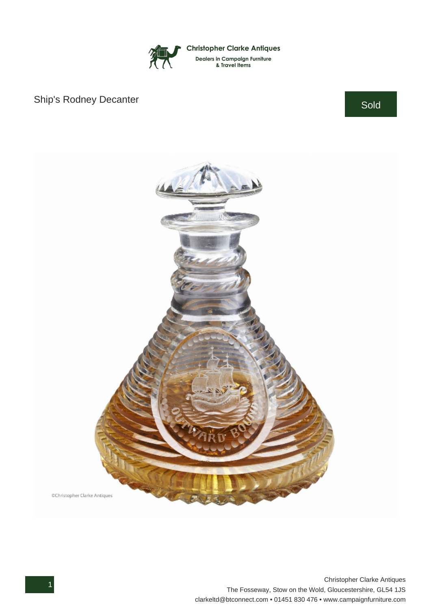

## Ship's Rodney Decanter Sold